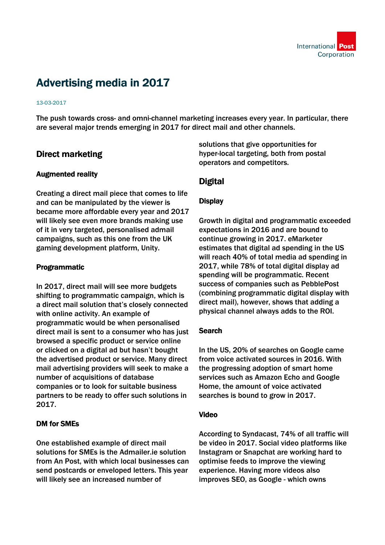

# Advertising media in 2017

#### 13-03-2017

The push towards cross- and omni-channel marketing increases every year. In particular, there are several major trends emerging in 2017 for direct mail and other channels.

# Direct marketing

## Augmented reality

Creating a direct mail piece that comes to life and can be manipulated by the viewer is became more affordable every year and 2017 will likely see even more brands making use of it in very targeted, personalised admail campaigns, such as this one from the UK gaming development platform, Unity.

## Programmatic

In 2017, direct mail will see more budgets shifting to programmatic campaign, which is a direct mail solution that's closely connected with online activity. An example of programmatic would be when personalised direct mail is sent to a consumer who has just browsed a specific product or service online or clicked on a digital ad but hasn't bought the advertised product or service. Many direct mail advertising providers will seek to make a number of acquisitions of database companies or to look for suitable business partners to be ready to offer such solutions in 2017.

### DM for SMEs

One established example of direct mail solutions for SMEs is the Admailer.ie solution from An Post, with which local businesses can send postcards or enveloped letters. This year will likely see an increased number of

solutions that give opportunities for hyper-local targeting, both from postal operators and competitors.

# **Digital**

## **Display**

Growth in digital and programmatic exceeded expectations in 2016 and are bound to continue growing in 2017. eMarketer estimates that digital ad spending in the US will reach 40% of total media ad spending in 2017, while 78% of total digital display ad spending will be programmatic. Recent success of companies such as PebblePost (combining programmatic digital display with direct mail), however, shows that adding a physical channel always adds to the ROI.

## **Search**

In the US, 20% of searches on Google came from voice activated sources in 2016. With the progressing adoption of smart home services such as Amazon Echo and Google Home, the amount of voice activated searches is bound to grow in 2017.

### Video

According to Syndacast, 74% of all traffic will be video in 2017. Social video platforms like Instagram or Snapchat are working hard to optimise feeds to improve the viewing experience. Having more videos also improves SEO, as Google - which owns